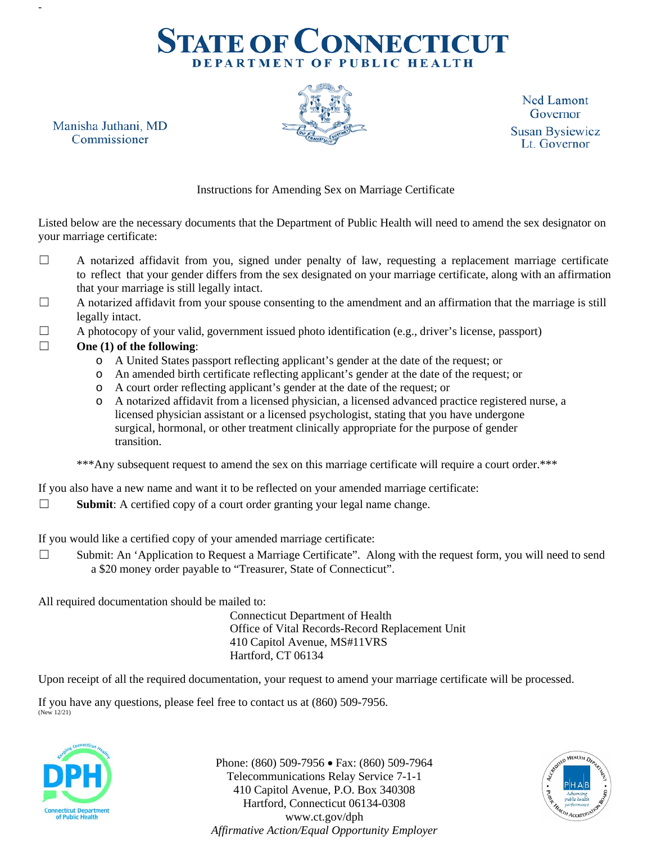# **STATE OF CONNECTICUT** DEPARTMENT OF PUBLIC HEALTH

**Ned Lamont** Governor **Susan Bysiewicz** Lt. Governor

Instructions for Amending Sex on Marriage Certificate

Listed below are the necessary documents that the Department of Public Health will need to amend the sex designator on your marriage certificate:

- ☐ A notarized affidavit from you, signed under penalty of law, requesting a replacement marriage certificate to reflect that your gender differs from the sex designated on your marriage certificate, along with an affirmation that your marriage is still legally intact.
- ☐ A notarized affidavit from your spouse consenting to the amendment and an affirmation that the marriage is still legally intact.
- $\Box$  A photocopy of your valid, government issued photo identification (e.g., driver's license, passport)

#### ☐ **One (1) of the following**:

Manisha Juthani, MD

Commissioner

-

- o A United States passport reflecting applicant's gender at the date of the request; or
- o An amended birth certificate reflecting applicant's gender at the date of the request; or
- o A court order reflecting applicant's gender at the date of the request; or
- o A notarized affidavit from a licensed physician, a licensed advanced practice registered nurse, a licensed physician assistant or a licensed psychologist, stating that you have undergone surgical, hormonal, or other treatment clinically appropriate for the purpose of gender transition.

\*\*\*Any subsequent request to amend the sex on this marriage certificate will require a court order.\*\*\*

If you also have a new name and want it to be reflected on your amended marriage certificate:

☐ **Submit**: A certified copy of a court order granting your legal name change.

If you would like a certified copy of your amended marriage certificate:

☐ Submit: An 'Application to Request a Marriage Certificate". Along with the request form, you will need to send a \$20 money order payable to "Treasurer, State of Connecticut".

All required documentation should be mailed to:

Connecticut Department of Health Office of Vital Records-Record Replacement Unit 410 Capitol Avenue, MS#11VRS Hartford, CT 06134

Upon receipt of all the required documentation, your request to amend your marriage certificate will be processed.

If you have any questions, please feel free to contact us at (860) 509-7956. (New 12/21)



Phone: (860) 509-7956 • Fax: (860) 509-7964 Telecommunications Relay Service 7-1-1 410 Capitol Avenue, P.O. Box 340308 Hartford, Connecticut 06134-0308 www.ct.gov/dph *Affirmative Action/Equal Opportunity Employer*

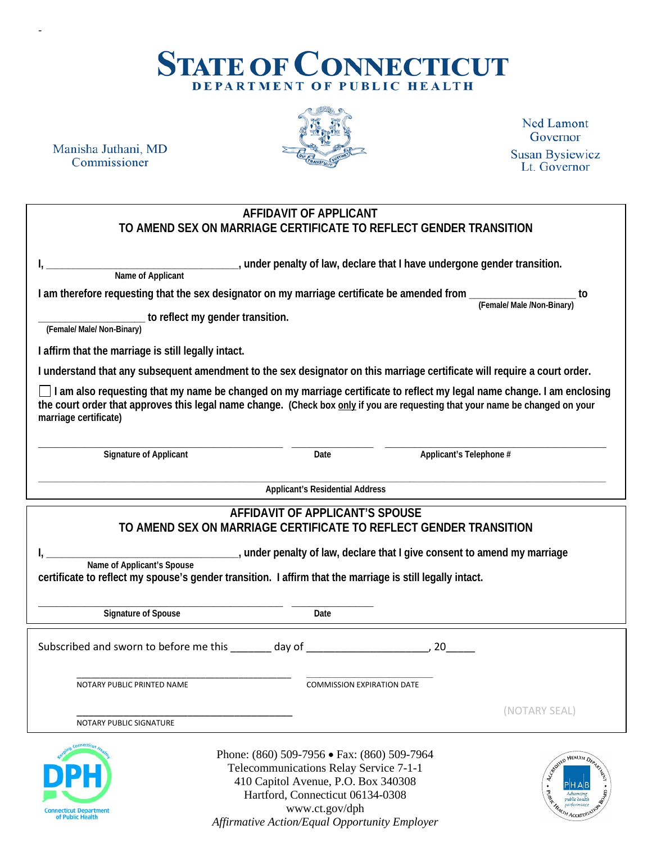## **STATE OF CONNECTICUT** DEPARTMENT OF PUBLIC HEALTH

Manisha Juthani, MD Commissioner

-



**Ned Lamont** Governor **Susan Bysiewicz** Lt. Governor

#### **AFFIDAVIT OF APPLICANT TO AMEND SEX ON MARRIAGE CERTIFICATE TO REFLECT GENDER TRANSITION**

**Name of Applicant**

**I, \_\_\_\_\_\_\_\_\_\_\_\_\_\_\_\_\_\_\_\_\_\_\_\_\_\_\_\_\_\_\_\_\_\_\_\_, under penalty of law, declare that I have undergone gender transition.**

**I am therefore requesting that the sex designator on my marriage certificate be amended from \_\_\_\_\_\_\_\_\_\_\_\_\_\_\_\_\_\_\_\_ to** 

**(Female/ Male /Non-Binary)** 

**\_\_\_\_\_\_\_\_\_\_\_\_\_\_\_\_\_\_\_\_ to reflect my gender transition.** 

**(Female/ Male/ Non-Binary)** 

**I affirm that the marriage is still legally intact.**

**I understand that any subsequent amendment to the sex designator on this marriage certificate will require a court order.**

**I am also requesting that my name be changed on my marriage certificate to reflect my legal name change. I am enclosing the court order that approves this legal name change. (Check box only if you are requesting that your name be changed on your marriage certificate)**

**\_\_\_\_\_\_\_\_\_\_\_\_\_\_\_\_\_\_\_\_\_\_\_\_\_\_\_\_\_\_\_\_\_\_\_\_\_\_\_\_\_\_ \_\_\_\_\_\_\_\_\_\_\_\_\_\_ \_\_\_\_\_\_\_\_\_\_\_\_\_\_\_\_\_\_\_\_\_\_\_\_\_\_\_\_\_\_\_\_\_\_\_\_\_\_ Signature of Applicant Date Applicant's Telephone #**

**\_\_\_\_\_\_\_\_\_\_\_\_\_\_\_\_\_\_\_\_\_\_\_\_\_\_\_\_\_\_\_\_\_\_\_\_\_\_\_\_\_\_\_\_\_\_\_\_\_\_\_\_\_\_\_\_\_\_\_\_\_\_\_\_\_\_\_\_\_\_\_\_\_\_\_\_\_\_\_\_\_\_\_\_\_\_\_\_\_\_\_\_\_\_\_\_\_\_\_\_\_\_\_\_\_\_\_\_\_\_\_\_\_\_\_\_\_\_\_\_\_\_\_\_\_\_\_\_\_\_ Applicant's Residential Address**

#### **AFFIDAVIT OF APPLICANT'S SPOUSE TO AMEND SEX ON MARRIAGE CERTIFICATE TO REFLECT GENDER TRANSITION**

**I, \_\_\_\_\_\_\_\_\_\_\_\_\_\_\_\_\_\_\_\_\_\_\_\_\_\_\_\_\_\_\_\_\_\_\_\_, under penalty of law, declare that I give consent to amend my marriage Name of Applicant's Spouse**

**certificate to reflect my spouse's gender transition. I affirm that the marriage is still legally intact.**

**\_\_\_\_\_\_\_\_\_\_\_\_\_\_\_\_\_\_\_\_\_\_\_\_\_\_\_\_\_\_\_\_\_\_\_\_\_\_\_\_\_\_ \_\_\_\_\_\_\_\_\_\_\_\_\_\_ Signature of Spouse Date**

Subscribed and sworn to before me this \_\_\_\_\_\_\_ day of \_\_\_\_\_\_\_\_\_\_\_\_\_\_\_\_\_\_\_\_\_\_, 20\_\_\_\_\_

\_\_\_\_\_\_\_\_\_\_\_\_\_\_\_\_\_\_\_\_\_\_\_\_\_\_\_\_\_\_\_\_\_\_\_\_\_\_\_\_\_\_\_\_\_ **\_\_\_\_\_\_\_\_\_\_\_\_\_\_\_\_\_\_\_\_\_\_\_\_\_\_\_\_\_** NOTARY PUBLIC PRINTED NAME COMMISSION EXPIRATION DATE

NOTARY PUBLIC SIGNATURE



Phone: (860) 509-7956 • Fax: (860) 509-7964 Telecommunications Relay Service 7-1-1 410 Capitol Avenue, P.O. Box 340308 Hartford, Connecticut 06134-0308 www.ct.gov/dph *Affirmative Action/Equal Opportunity Employer*



\_\_\_\_\_\_\_\_\_\_\_\_\_\_\_\_\_\_\_\_\_\_\_\_\_\_\_\_\_\_\_\_\_\_\_\_\_ (NOTARY SEAL)